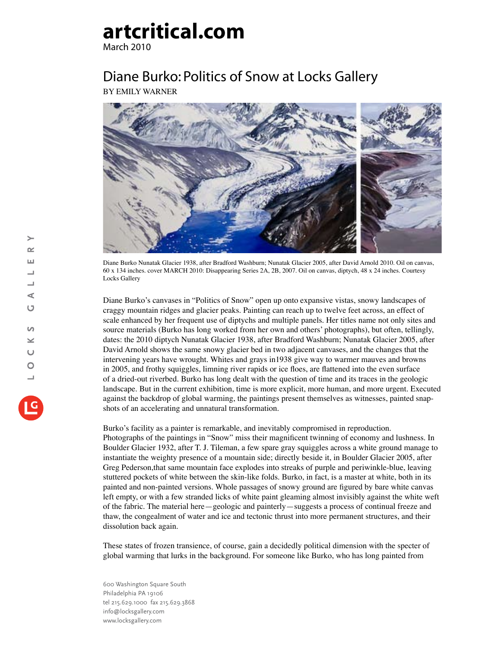## **artcritical.com**

March 2010

## Diane Burko: Politics of Snow at Locks Gallery BY EMILY WARNER



Diane Burko Nunatak Glacier 1938, after Bradford Washburn; Nunatak Glacier 2005, after David Arnold 2010. Oil on canvas, 60 x 134 inches. cover MARCH 2010: Disappearing Series 2A, 2B, 2007. Oil on canvas, diptych, 48 x 24 inches. Courtesy Locks Gallery

Diane Burko's canvases in "Politics of Snow" open up onto expansive vistas, snowy landscapes of craggy mountain ridges and glacier peaks. Painting can reach up to twelve feet across, an effect of scale enhanced by her frequent use of diptychs and multiple panels. Her titles name not only sites and source materials (Burko has long worked from her own and others' photographs), but often, tellingly, dates: the 2010 diptych Nunatak Glacier 1938, after Bradford Washburn; Nunatak Glacier 2005, after David Arnold shows the same snowy glacier bed in two adjacent canvases, and the changes that the intervening years have wrought. Whites and grays in1938 give way to warmer mauves and browns in 2005, and frothy squiggles, limning river rapids or ice floes, are flattened into the even surface of a dried-out riverbed. Burko has long dealt with the question of time and its traces in the geologic landscape. But in the current exhibition, time is more explicit, more human, and more urgent. Executed against the backdrop of global warming, the paintings present themselves as witnesses, painted snapshots of an accelerating and unnatural transformation.

Burko's facility as a painter is remarkable, and inevitably compromised in reproduction. Photographs of the paintings in "Snow" miss their magnificent twinning of economy and lushness. In Boulder Glacier 1932, after T. J. Tileman, a few spare gray squiggles across a white ground manage to instantiate the weighty presence of a mountain side; directly beside it, in Boulder Glacier 2005, after Greg Pederson,that same mountain face explodes into streaks of purple and periwinkle-blue, leaving stuttered pockets of white between the skin-like folds. Burko, in fact, is a master at white, both in its painted and non-painted versions. Whole passages of snowy ground are figured by bare white canvas left empty, or with a few stranded licks of white paint gleaming almost invisibly against the white weft of the fabric. The material here—geologic and painterly—suggests a process of continual freeze and thaw, the congealment of water and ice and tectonic thrust into more permanent structures, and their dissolution back again.

These states of frozen transience, of course, gain a decidedly political dimension with the specter of global warming that lurks in the background. For someone like Burko, who has long painted from

600 Washington Square South Philadelphia PA 19106 tel 215.629.1000 fax 215.629.3868 info@locksgallery.com www.locksgallery.com